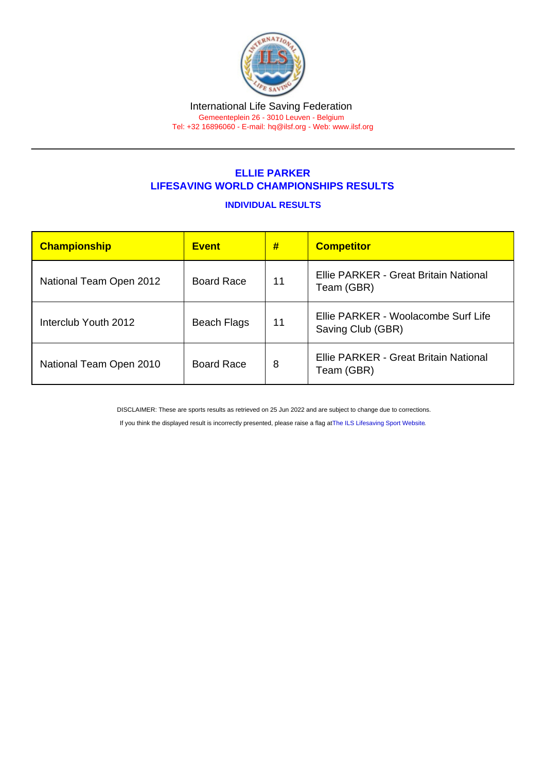#### International Life Saving Federation Gemeenteplein 26 - 3010 Leuven - Belgium

Tel: +32 16896060 - E-mail: [hq@ilsf.org](mailto:hq@ilsf.org) - Web: [www.ilsf.org](https://www.ilsf.org)

# ELLIE PARKER LIFESAVING WORLD CHAMPIONSHIPS RESULTS

### INDIVIDUAL RESULTS

| Championship            | <b>Event</b>      | #  | <b>Competitor</b>                                        |  |
|-------------------------|-------------------|----|----------------------------------------------------------|--|
| National Team Open 2012 | <b>Board Race</b> | 11 | Ellie PARKER - Great Britain National<br>Team (GBR)      |  |
| Interclub Youth 2012    | Beach Flags       | 11 | Ellie PARKER - Woolacombe Surf Life<br>Saving Club (GBR) |  |
| National Team Open 2010 | <b>Board Race</b> | 8  | Ellie PARKER - Great Britain National<br>Team (GBR)      |  |

DISCLAIMER: These are sports results as retrieved on 25 Jun 2022 and are subject to change due to corrections.

If you think the displayed result is incorrectly presented, please raise a flag at [The ILS Lifesaving Sport Website.](https://sport.ilsf.org)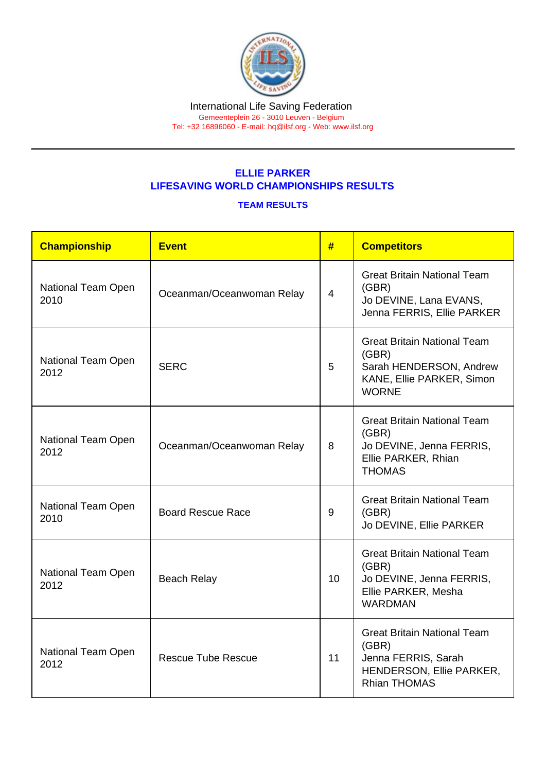## ELLIE PARKER LIFESAVING WORLD CHAMPIONSHIPS RESULTS

### TEAM RESULTS

| Championship                                            | <b>Event</b>              | #  | <b>Competitors</b>                                                                                                    |
|---------------------------------------------------------|---------------------------|----|-----------------------------------------------------------------------------------------------------------------------|
| <b>National Team Open</b><br>2010                       | Oceanman/Oceanwoman Relay | 4  | <b>Great Britain National Team</b><br>(GBR)<br>Jo DEVINE, Lana EVANS,<br>Jenna FERRIS, Ellie PARKER                   |
| National Team Open<br>2012                              | <b>SERC</b>               |    | <b>Great Britain National Team</b><br>(GBR)<br>Sarah HENDERSON, Andrew<br>KANE, Ellie PARKER, Simon<br><b>WORNE</b>   |
| National Team Open<br>2012                              | Oceanman/Oceanwoman Relay |    | <b>Great Britain National Team</b><br>(GBR)<br>Jo DEVINE, Jenna FERRIS,<br>Ellie PARKER, Rhian<br><b>THOMAS</b>       |
| National Team Open<br>2010                              | <b>Board Rescue Race</b>  | 9  | <b>Great Britain National Team</b><br>(GBR)<br>Jo DEVINE, Ellie PARKER                                                |
| <b>National Team Open</b><br><b>Beach Relay</b><br>2012 |                           | 10 | <b>Great Britain National Team</b><br>(GBR)<br>Jo DEVINE, Jenna FERRIS,<br>Ellie PARKER, Mesha<br><b>WARDMAN</b>      |
| National Team Open<br>2012                              | <b>Rescue Tube Rescue</b> |    | <b>Great Britain National Team</b><br>(GBR)<br>Jenna FERRIS, Sarah<br>HENDERSON, Ellie PARKER,<br><b>Rhian THOMAS</b> |